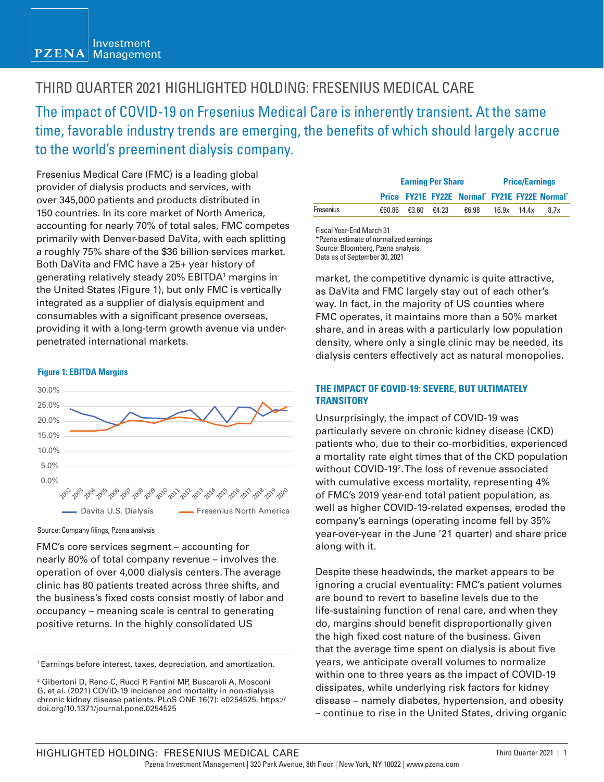#### Investment **PZENA** Management

# THIRD QUARTER 2021 HIGHLIGHTED HOLDING: FRESENIUS MEDICAL CARE

The impact of COVID-19 on Fresenius Medical Care is inherently transient. At the same time, favorable industry trends are emerging, the benefits of which should largely accrue to the world's preeminent dialysis company.

Fresenius Medical Care (FMC) is a leading global provider of dialysis products and services, with over 345,000 patients and products distributed in 150 countries. In its core market of North America, accounting for nearly 70% of total sales, FMC competes primarily with Denver-based DaVita, with each splitting a roughly 75% share of the \$36 billion services market. Both DaVita and FMC have a 25+ year history of generating relatively steady 20% EBITDA1 margins in the United States (Figure 1), but only FMC is vertically integrated as a supplier of dialysis equipment and consumables with a significant presence overseas, providing it with a long-term growth avenue via underpenetrated international markets.

#### **Figure 1: EBITDA Margins**



Source: Company filings, Pzena analysis

FMC's core services segment – accounting for nearly 80% of total company revenue – involves the operation of over 4,000 dialysis centers. The average clinic has 80 patients treated across three shifts, and the business's fixed costs consist mostly of labor and occupancy – meaning scale is central to generating positive returns. In the highly consolidated US

|           | <b>Earning Per Share</b> |       |                                               | <b>Price/Earnings</b> |             |      |
|-----------|--------------------------|-------|-----------------------------------------------|-----------------------|-------------|------|
|           |                          |       | Price FY21E FY22E Normal* FY21E FY22E Normal* |                       |             |      |
| Fresenius | €60.86 €3.60             | €4.23 | €6.98                                         |                       | 16.9x 14.4x | 8.7x |

Fiscal Year-End March 31 \*Pzena estimate of normalized earnings Source: Bloomberg, Pzena analysis Data as of September 30, 2021

market, the competitive dynamic is quite attractive, as DaVita and FMC largely stay out of each other's way. In fact, in the majority of US counties where FMC operates, it maintains more than a 50% market share, and in areas with a particularly low population density, where only a single clinic may be needed, its dialysis centers effectively act as natural monopolies.

#### **THE IMPACT OF COVID-19: SEVERE, BUT ULTIMATELY TRANSITORY**

Unsurprisingly, the impact of COVID-19 was particularly severe on chronic kidney disease (CKD) patients who, due to their co-morbidities, experienced a mortality rate eight times that of the CKD population without COVID-192 . The loss of revenue associated with cumulative excess mortality, representing 4% of FMC's 2019 year-end total patient population, as well as higher COVID-19-related expenses, eroded the company's earnings (operating income fell by 35% year-over-year in the June '21 quarter) and share price along with it.

Despite these headwinds, the market appears to be ignoring a crucial eventuality: FMC's patient volumes are bound to revert to baseline levels due to the life-sustaining function of renal care, and when they do, margins should benefit disproportionally given the high fixed cost nature of the business. Given that the average time spent on dialysis is about five years, we anticipate overall volumes to normalize within one to three years as the impact of COVID-19 dissipates, while underlying risk factors for kidney disease – namely diabetes, hypertension, and obesity – continue to rise in the United States, driving organic

<sup>1</sup> Earnings before interest, taxes, depreciation, and amortization.

<sup>2</sup> Gibertoni D, Reno C, Rucci P, Fantini MP, Buscaroli A, Mosconi G, et al. (2021) COVID-19 incidence and mortality in non-dialysis chronic kidney disease patients. PLoS ONE 16(7): e0254525. https:// doi.org/10.1371/journal.pone.0254525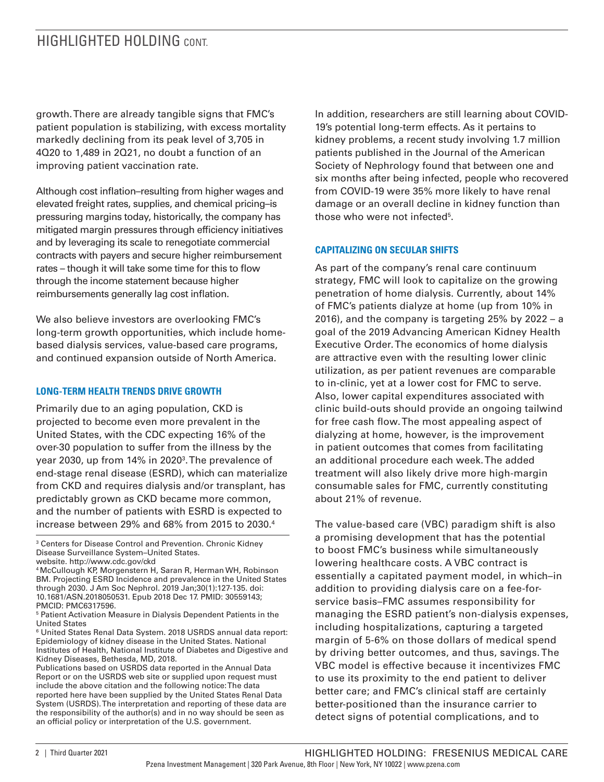## HIGHLIGHTED HOLDING CONT

growth. There are already tangible signs that FMC's patient population is stabilizing, with excess mortality markedly declining from its peak level of 3,705 in 4Q20 to 1,489 in 2Q21, no doubt a function of an improving patient vaccination rate.

Although cost inflation–resulting from higher wages and elevated freight rates, supplies, and chemical pricing–is pressuring margins today, historically, the company has mitigated margin pressures through efficiency initiatives and by leveraging its scale to renegotiate commercial contracts with payers and secure higher reimbursement rates – though it will take some time for this to flow through the income statement because higher reimbursements generally lag cost inflation.

We also believe investors are overlooking FMC's long-term growth opportunities, which include homebased dialysis services, value-based care programs, and continued expansion outside of North America.

#### **LONG-TERM HEALTH TRENDS DRIVE GROWTH**

Primarily due to an aging population, CKD is projected to become even more prevalent in the United States, with the CDC expecting 16% of the over-30 population to suffer from the illness by the year 2030, up from 14% in 2020<sup>3</sup>. The prevalence of end-stage renal disease (ESRD), which can materialize from CKD and requires dialysis and/or transplant, has predictably grown as CKD became more common, and the number of patients with ESRD is expected to increase between 29% and 68% from 2015 to 2030.4

In addition, researchers are still learning about COVID-19's potential long-term effects. As it pertains to kidney problems, a recent study involving 1.7 million patients published in the Journal of the American Society of Nephrology found that between one and six months after being infected, people who recovered from COVID-19 were 35% more likely to have renal damage or an overall decline in kidney function than those who were not infected<sup>5</sup>.

#### **CAPITALIZING ON SECULAR SHIFTS**

As part of the company's renal care continuum strategy, FMC will look to capitalize on the growing penetration of home dialysis. Currently, about 14% of FMC's patients dialyze at home (up from 10% in 2016), and the company is targeting 25% by 2022 – a goal of the 2019 Advancing American Kidney Health Executive Order. The economics of home dialysis are attractive even with the resulting lower clinic utilization, as per patient revenues are comparable to in-clinic, yet at a lower cost for FMC to serve. Also, lower capital expenditures associated with clinic build-outs should provide an ongoing tailwind for free cash flow. The most appealing aspect of dialyzing at home, however, is the improvement in patient outcomes that comes from facilitating an additional procedure each week. The added treatment will also likely drive more high-margin consumable sales for FMC, currently constituting about 21% of revenue.

The value-based care (VBC) paradigm shift is also a promising development that has the potential to boost FMC's business while simultaneously lowering healthcare costs. A VBC contract is essentially a capitated payment model, in which–in addition to providing dialysis care on a fee-forservice basis–FMC assumes responsibility for managing the ESRD patient's non-dialysis expenses, including hospitalizations, capturing a targeted margin of 5-6% on those dollars of medical spend by driving better outcomes, and thus, savings. The VBC model is effective because it incentivizes FMC to use its proximity to the end patient to deliver better care; and FMC's clinical staff are certainly better-positioned than the insurance carrier to detect signs of potential complications, and to

<sup>&</sup>lt;sup>3</sup> Centers for Disease Control and Prevention. Chronic Kidney Disease Surveillance System–United States. website. http://www.cdc.gov/ckd

<sup>4</sup> McCullough KP, Morgenstern H, Saran R, Herman WH, Robinson BM. Projecting ESRD Incidence and prevalence in the United States through 2030. J Am Soc Nephrol. 2019 Jan;30(1):127-135. doi: 10.1681/ASN.2018050531. Epub 2018 Dec 17. PMID: 30559143;

PMCID: PMC6317596.

<sup>5</sup> Patient Activation Measure in Dialysis Dependent Patients in the United States

<sup>6</sup> United States Renal Data System. 2018 USRDS annual data report: Epidemiology of kidney disease in the United States. National Institutes of Health, National Institute of Diabetes and Digestive and Kidney Diseases, Bethesda, MD, 2018.

Publications based on USRDS data reported in the Annual Data Report or on the USRDS web site or supplied upon request must include the above citation and the following notice: The data reported here have been supplied by the United States Renal Data System (USRDS). The interpretation and reporting of these data are the responsibility of the author(s) and in no way should be seen as an official policy or interpretation of the U.S. government.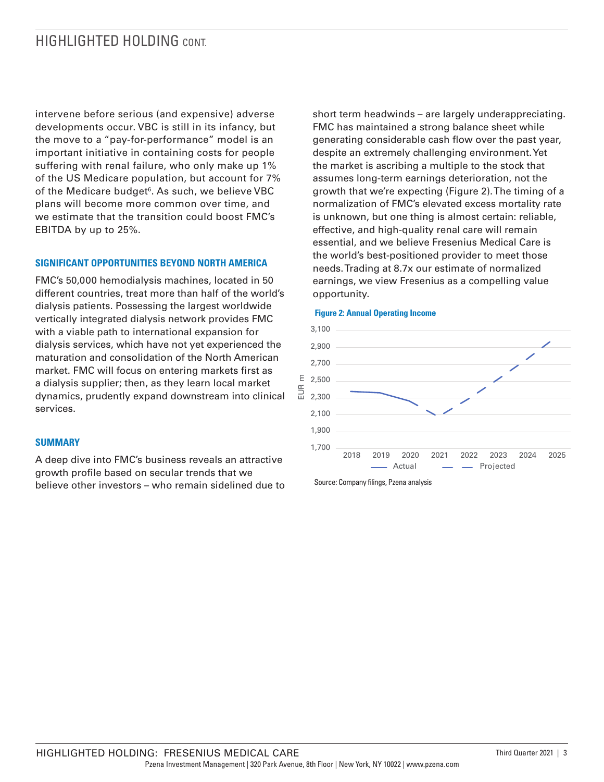# HIGHLIGHTED HOLDING CONT

intervene before serious (and expensive) adverse developments occur. VBC is still in its infancy, but the move to a "pay-for-performance" model is an important initiative in containing costs for people suffering with renal failure, who only make up 1% of the US Medicare population, but account for 7% of the Medicare budget<sup>6</sup>. As such, we believe VBC plans will become more common over time, and we estimate that the transition could boost FMC's EBITDA by up to 25%.

#### **SIGNIFICANT OPPORTUNITIES BEYOND NORTH AMERICA**

FMC's 50,000 hemodialysis machines, located in 50 different countries, treat more than half of the world's dialysis patients. Possessing the largest worldwide vertically integrated dialysis network provides FMC with a viable path to international expansion for dialysis services, which have not yet experienced the maturation and consolidation of the North American market. FMC will focus on entering markets first as a dialysis supplier; then, as they learn local market dynamics, prudently expand downstream into clinical services.

#### **SUMMARY**

A deep dive into FMC's business reveals an attractive growth profile based on secular trends that we believe other investors – who remain sidelined due to

short term headwinds – are largely underappreciating. FMC has maintained a strong balance sheet while generating considerable cash flow over the past year, despite an extremely challenging environment. Yet the market is ascribing a multiple to the stock that assumes long-term earnings deterioration, not the growth that we're expecting (Figure 2). The timing of a normalization of FMC's elevated excess mortality rate is unknown, but one thing is almost certain: reliable, effective, and high-quality renal care will remain essential, and we believe Fresenius Medical Care is the world's best-positioned provider to meet those needs. Trading at 8.7x our estimate of normalized earnings, we view Fresenius as a compelling value opportunity.



#### **Figure 2: Annual Operating Income**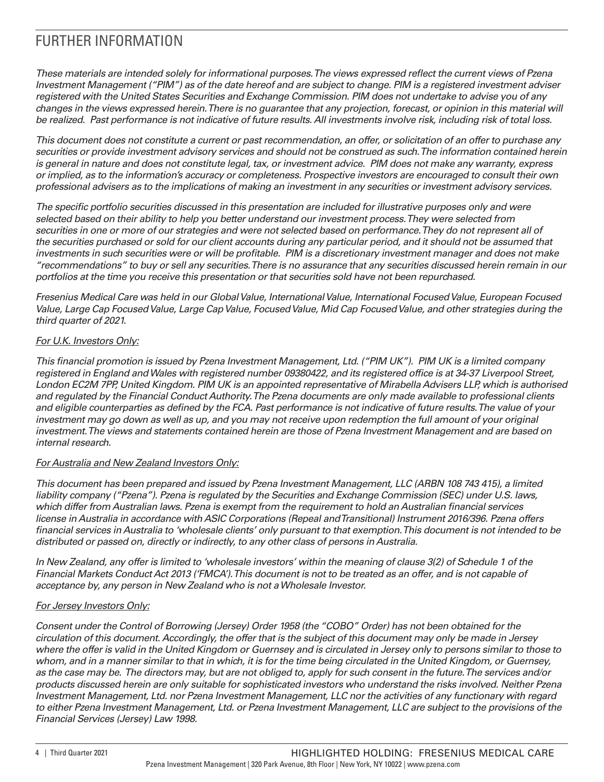# FURTHER INFORMATION

*These materials are intended solely for informational purposes. The views expressed reflect the current views of Pzena Investment Management ("PIM") as of the date hereof and are subject to change. PIM is a registered investment adviser registered with the United States Securities and Exchange Commission. PIM does not undertake to advise you of any changes in the views expressed herein. There is no guarantee that any projection, forecast, or opinion in this material will be realized. Past performance is not indicative of future results. All investments involve risk, including risk of total loss.*

*This document does not constitute a current or past recommendation, an offer, or solicitation of an offer to purchase any securities or provide investment advisory services and should not be construed as such. The information contained herein is general in nature and does not constitute legal, tax, or investment advice. PIM does not make any warranty, express or implied, as to the information's accuracy or completeness. Prospective investors are encouraged to consult their own professional advisers as to the implications of making an investment in any securities or investment advisory services.*

*The specific portfolio securities discussed in this presentation are included for illustrative purposes only and were selected based on their ability to help you better understand our investment process. They were selected from securities in one or more of our strategies and were not selected based on performance. They do not represent all of the securities purchased or sold for our client accounts during any particular period, and it should not be assumed that investments in such securities were or will be profitable. PIM is a discretionary investment manager and does not make "recommendations" to buy or sell any securities. There is no assurance that any securities discussed herein remain in our portfolios at the time you receive this presentation or that securities sold have not been repurchased.*

*Fresenius Medical Care was held in our Global Value, International Value, International Focused Value, European Focused Value, Large Cap Focused Value, Large Cap Value, Focused Value, Mid Cap Focused Value, and other strategies during the third quarter of 2021.*

### *For U.K. Investors Only:*

*This financial promotion is issued by Pzena Investment Management, Ltd. ("PIM UK"). PIM UK is a limited company registered in England and Wales with registered number 09380422, and its registered office is at 34-37 Liverpool Street, London EC2M 7PP, United Kingdom. PIM UK is an appointed representative of Mirabella Advisers LLP, which is authorised and regulated by the Financial Conduct Authority. The Pzena documents are only made available to professional clients and eligible counterparties as defined by the FCA. Past performance is not indicative of future results. The value of your*  investment may go down as well as up, and you may not receive upon redemption the full amount of your original *investment. The views and statements contained herein are those of Pzena Investment Management and are based on internal research.* 

#### *For Australia and New Zealand Investors Only:*

*This document has been prepared and issued by Pzena Investment Management, LLC (ARBN 108 743 415), a limited liability company ("Pzena"). Pzena is regulated by the Securities and Exchange Commission (SEC) under U.S. laws, which differ from Australian laws. Pzena is exempt from the requirement to hold an Australian financial services license in Australia in accordance with ASIC Corporations (Repeal and Transitional) Instrument 2016/396. Pzena offers financial services in Australia to 'wholesale clients' only pursuant to that exemption. This document is not intended to be distributed or passed on, directly or indirectly, to any other class of persons in Australia.*

*In New Zealand, any offer is limited to 'wholesale investors' within the meaning of clause 3(2) of Schedule 1 of the Financial Markets Conduct Act 2013 ('FMCA'). This document is not to be treated as an offer, and is not capable of acceptance by, any person in New Zealand who is not a Wholesale Investor.*

### *For Jersey Investors Only:*

*Consent under the Control of Borrowing (Jersey) Order 1958 (the "COBO" Order) has not been obtained for the circulation of this document. Accordingly, the offer that is the subject of this document may only be made in Jersey where the offer is valid in the United Kingdom or Guernsey and is circulated in Jersey only to persons similar to those to whom, and in a manner similar to that in which, it is for the time being circulated in the United Kingdom, or Guernsey, as the case may be. The directors may, but are not obliged to, apply for such consent in the future. The services and/or products discussed herein are only suitable for sophisticated investors who understand the risks involved. Neither Pzena Investment Management, Ltd. nor Pzena Investment Management, LLC nor the activities of any functionary with regard*  to either Pzena Investment Management, Ltd. or Pzena Investment Management, LLC are subject to the provisions of the *Financial Services (Jersey) Law 1998.*